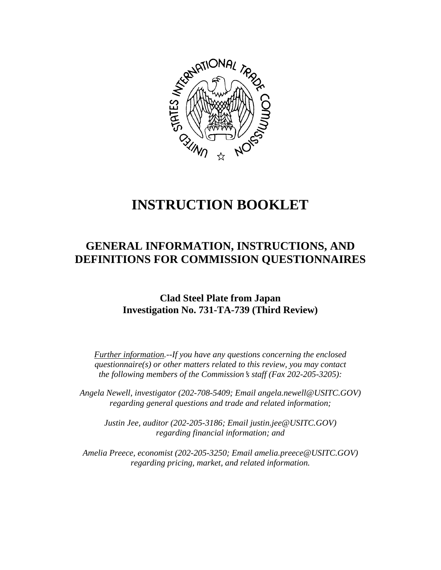

# **INSTRUCTION BOOKLET**

# **GENERAL INFORMATION, INSTRUCTIONS, AND DEFINITIONS FOR COMMISSION QUESTIONNAIRES**

# **Clad Steel Plate from Japan Investigation No. 731-TA-739 (Third Review)**

*Further information.--If you have any questions concerning the enclosed questionnaire(s) or other matters related to this review, you may contact the following members of the Commission's staff (Fax 202-205-3205):* 

 *Angela Newell, investigator (202-708-5409; Email angela.newell@USITC.GOV) regarding general questions and trade and related information;* 

 *Justin Jee, auditor (202-205-3186; Email justin.jee@USITC.GOV) regarding financial information; and* 

 *Amelia Preece, economist (202-205-3250; Email amelia.preece@USITC.GOV) regarding pricing, market, and related information.*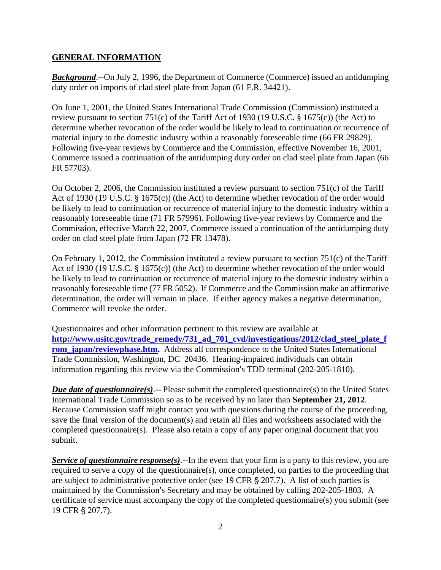## **GENERAL INFORMATION**

*Background*.--On July 2, 1996, the Department of Commerce (Commerce) issued an antidumping duty order on imports of clad steel plate from Japan (61 F.R. 34421).

On June 1, 2001, the United States International Trade Commission (Commission) instituted a review pursuant to section 751(c) of the Tariff Act of 1930 (19 U.S.C. § 1675(c)) (the Act) to determine whether revocation of the order would be likely to lead to continuation or recurrence of material injury to the domestic industry within a reasonably foreseeable time (66 FR 29829). Following five-year reviews by Commerce and the Commission, effective November 16, 2001, Commerce issued a continuation of the antidumping duty order on clad steel plate from Japan (66 FR 57703).

On October 2, 2006, the Commission instituted a review pursuant to section 751(c) of the Tariff Act of 1930 (19 U.S.C. § 1675(c)) (the Act) to determine whether revocation of the order would be likely to lead to continuation or recurrence of material injury to the domestic industry within a reasonably foreseeable time (71 FR 57996). Following five-year reviews by Commerce and the Commission, effective March 22, 2007, Commerce issued a continuation of the antidumping duty order on clad steel plate from Japan (72 FR 13478).

On February 1, 2012, the Commission instituted a review pursuant to section 751(c) of the Tariff Act of 1930 (19 U.S.C. § 1675(c)) (the Act) to determine whether revocation of the order would be likely to lead to continuation or recurrence of material injury to the domestic industry within a reasonably foreseeable time (77 FR 5052). If Commerce and the Commission make an affirmative determination, the order will remain in place. If either agency makes a negative determination, Commerce will revoke the order.

Questionnaires and other information pertinent to this review are available at **http://www.usitc.gov/trade\_remedy/731\_ad\_701\_cvd/investigations/2012/clad\_steel\_plate\_f rom** japan/reviewphase.htm. Address all correspondence to the United States International Trade Commission, Washington, DC 20436. Hearing-impaired individuals can obtain information regarding this review via the Commission's TDD terminal (202-205-1810).

*Due date of questionnaire(s)*.-- Please submit the completed questionnaire(s) to the United States International Trade Commission so as to be received by no later than **September 21, 2012**. Because Commission staff might contact you with questions during the course of the proceeding, save the final version of the document(s) and retain all files and worksheets associated with the completed questionnaire(s). Please also retain a copy of any paper original document that you submit.

*Service of questionnaire response(s)*.--In the event that your firm is a party to this review, you are required to serve a copy of the questionnaire(s), once completed, on parties to the proceeding that are subject to administrative protective order (see 19 CFR  $\S$  207.7). A list of such parties is maintained by the Commission's Secretary and may be obtained by calling 202-205-1803. A certificate of service must accompany the copy of the completed questionnaire(s) you submit (see 19 CFR § 207.7).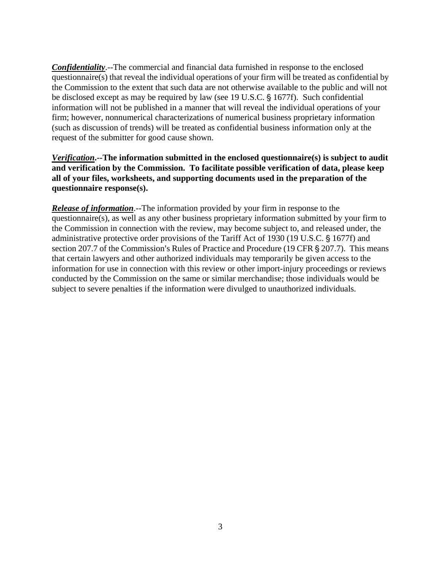*Confidentiality*.--The commercial and financial data furnished in response to the enclosed questionnaire(s) that reveal the individual operations of your firm will be treated as confidential by the Commission to the extent that such data are not otherwise available to the public and will not be disclosed except as may be required by law (see 19 U.S.C. § 1677f). Such confidential information will not be published in a manner that will reveal the individual operations of your firm; however, nonnumerical characterizations of numerical business proprietary information (such as discussion of trends) will be treated as confidential business information only at the request of the submitter for good cause shown.

*Verification***.--The information submitted in the enclosed questionnaire(s) is subject to audit and verification by the Commission. To facilitate possible verification of data, please keep all of your files, worksheets, and supporting documents used in the preparation of the questionnaire response(s).**

*Release of information*.--The information provided by your firm in response to the questionnaire(s), as well as any other business proprietary information submitted by your firm to the Commission in connection with the review, may become subject to, and released under, the administrative protective order provisions of the Tariff Act of 1930 (19 U.S.C. § 1677f) and section 207.7 of the Commission's Rules of Practice and Procedure (19 CFR § 207.7). This means that certain lawyers and other authorized individuals may temporarily be given access to the information for use in connection with this review or other import-injury proceedings or reviews conducted by the Commission on the same or similar merchandise; those individuals would be subject to severe penalties if the information were divulged to unauthorized individuals.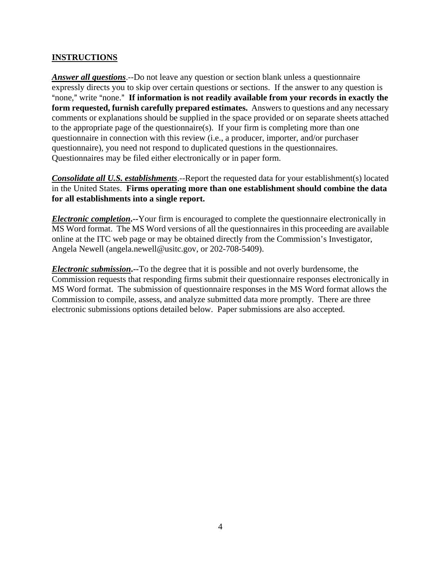# **INSTRUCTIONS**

*Answer all questions*.--Do not leave any question or section blank unless a questionnaire expressly directs you to skip over certain questions or sections. If the answer to any question is "none," write "none." If information is not readily available from your records in exactly the **form requested, furnish carefully prepared estimates.** Answers to questions and any necessary comments or explanations should be supplied in the space provided or on separate sheets attached to the appropriate page of the questionnaire(s). If your firm is completing more than one questionnaire in connection with this review (i.e., a producer, importer, and/or purchaser questionnaire), you need not respond to duplicated questions in the questionnaires. Questionnaires may be filed either electronically or in paper form.

*Consolidate all U.S. establishments*.--Report the requested data for your establishment(s) located in the United States. **Firms operating more than one establishment should combine the data for all establishments into a single report.**

*Electronic completion***.--**Your firm is encouraged to complete the questionnaire electronically in MS Word format. The MS Word versions of all the questionnaires in this proceeding are available online at the ITC web page or may be obtained directly from the Commission's Investigator, Angela Newell (angela.newell@usitc.gov, or 202-708-5409).

*Electronic submission***.--**To the degree that it is possible and not overly burdensome, the Commission requests that responding firms submit their questionnaire responses electronically in MS Word format. The submission of questionnaire responses in the MS Word format allows the Commission to compile, assess, and analyze submitted data more promptly. There are three electronic submissions options detailed below. Paper submissions are also accepted.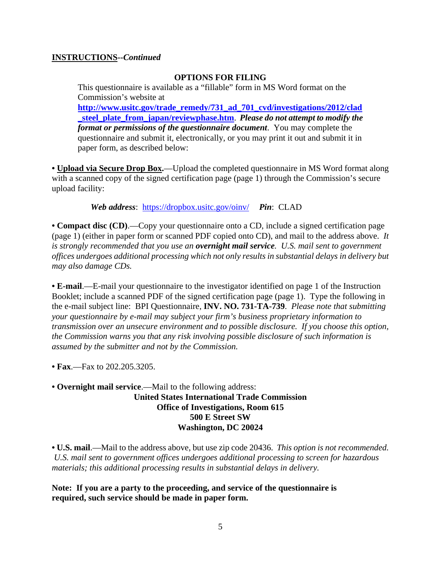## **INSTRUCTIONS--***Continued*

#### **OPTIONS FOR FILING**

This questionnaire is available as a "fillable" form in MS Word format on the Commission's website at **http://www.usitc.gov/trade\_remedy/731\_ad\_701\_cvd/investigations/2012/clad \_steel\_plate\_from\_japan/reviewphase.htm**. *Please do not attempt to modify the format or permissions of the questionnaire document*. You may complete the questionnaire and submit it, electronically, or you may print it out and submit it in paper form, as described below:

• **Upload via Secure Drop Box.**—Upload the completed questionnaire in MS Word format along with a scanned copy of the signed certification page (page 1) through the Commission's secure upload facility:

*Web address*: https://dropbox.usitc.gov/oinv/ *Pin*: CLAD

**• Compact disc (CD)**.—Copy your questionnaire onto a CD, include a signed certification page (page 1) (either in paper form or scanned PDF copied onto CD), and mail to the address above. *It is strongly recommended that you use an overnight mail service. U.S. mail sent to government offices undergoes additional processing which not only results in substantial delays in delivery but may also damage CDs.* 

**• E-mail**.—E-mail your questionnaire to the investigator identified on page 1 of the Instruction Booklet; include a scanned PDF of the signed certification page (page 1). Type the following in the e-mail subject line: BPI Questionnaire, **INV. NO. 731-TA-739**. *Please note that submitting your questionnaire by e-mail may subject your firm's business proprietary information to transmission over an unsecure environment and to possible disclosure. If you choose this option, the Commission warns you that any risk involving possible disclosure of such information is assumed by the submitter and not by the Commission.* 

• **Fax**.—Fax to 202.205.3205.

**• Overnight mail service**.—Mail to the following address: **United States International Trade Commission Office of Investigations, Room 615 500 E Street SW Washington, DC 20024**

**• U.S. mail**.—Mail to the address above, but use zip code 20436. *This option is not recommended. U.S. mail sent to government offices undergoes additional processing to screen for hazardous materials; this additional processing results in substantial delays in delivery.* 

**Note: If you are a party to the proceeding, and service of the questionnaire is required, such service should be made in paper form.**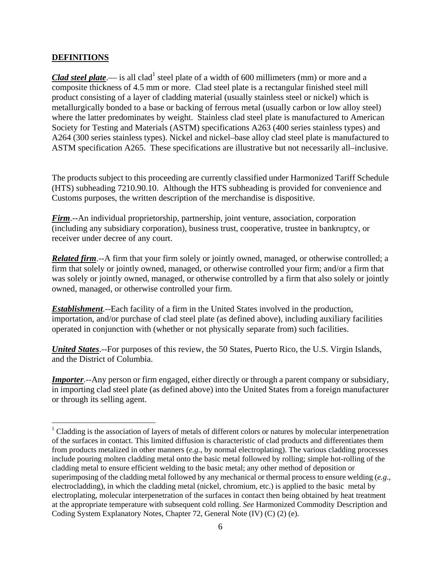## **DEFINITIONS**

 $\overline{a}$ 

*Clad steel plate*.— is all clad<sup>1</sup> steel plate of a width of 600 millimeters (mm) or more and a composite thickness of 4.5 mm or more. Clad steel plate is a rectangular finished steel mill product consisting of a layer of cladding material (usually stainless steel or nickel) which is metallurgically bonded to a base or backing of ferrous metal (usually carbon or low alloy steel) where the latter predominates by weight. Stainless clad steel plate is manufactured to American Society for Testing and Materials (ASTM) specifications A263 (400 series stainless types) and A264 (300 series stainless types). Nickel and nickel–base alloy clad steel plate is manufactured to ASTM specification A265. These specifications are illustrative but not necessarily all–inclusive.

The products subject to this proceeding are currently classified under Harmonized Tariff Schedule (HTS) subheading 7210.90.10. Although the HTS subheading is provided for convenience and Customs purposes, the written description of the merchandise is dispositive.

*Firm*.--An individual proprietorship, partnership, joint venture, association, corporation (including any subsidiary corporation), business trust, cooperative, trustee in bankruptcy, or receiver under decree of any court.

*Related firm*.--A firm that your firm solely or jointly owned, managed, or otherwise controlled; a firm that solely or jointly owned, managed, or otherwise controlled your firm; and/or a firm that was solely or jointly owned, managed, or otherwise controlled by a firm that also solely or jointly owned, managed, or otherwise controlled your firm.

*Establishment*.--Each facility of a firm in the United States involved in the production, importation, and/or purchase of clad steel plate (as defined above), including auxiliary facilities operated in conjunction with (whether or not physically separate from) such facilities.

*United States*.--For purposes of this review, the 50 States, Puerto Rico, the U.S. Virgin Islands, and the District of Columbia.

*Importer*.--Any person or firm engaged, either directly or through a parent company or subsidiary, in importing clad steel plate (as defined above) into the United States from a foreign manufacturer or through its selling agent.

<sup>&</sup>lt;sup>1</sup> Cladding is the association of layers of metals of different colors or natures by molecular interpenetration of the surfaces in contact. This limited diffusion is characteristic of clad products and differentiates them from products metalized in other manners (*e.g.*, by normal electroplating). The various cladding processes include pouring molten cladding metal onto the basic metal followed by rolling; simple hot-rolling of the cladding metal to ensure efficient welding to the basic metal; any other method of deposition or superimposing of the cladding metal followed by any mechanical or thermal process to ensure welding (*e.g.*, electrocladding), in which the cladding metal (nickel, chromium, etc.) is applied to the basic metal by electroplating, molecular interpenetration of the surfaces in contact then being obtained by heat treatment at the appropriate temperature with subsequent cold rolling. *See* Harmonized Commodity Description and Coding System Explanatory Notes, Chapter 72, General Note (IV) (C) (2) (e).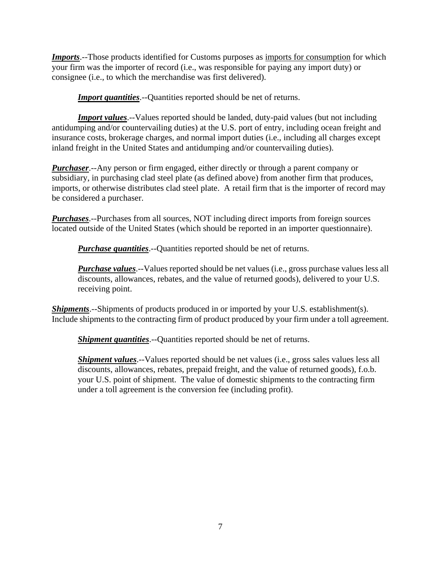*Imports*.--Those products identified for Customs purposes as imports for consumption for which your firm was the importer of record (i.e., was responsible for paying any import duty) or consignee (i.e., to which the merchandise was first delivered).

**Import quantities**.--Quantities reported should be net of returns.

*Import values*.--Values reported should be landed, duty-paid values (but not including antidumping and/or countervailing duties) at the U.S. port of entry, including ocean freight and insurance costs, brokerage charges, and normal import duties (i.e., including all charges except inland freight in the United States and antidumping and/or countervailing duties).

*Purchaser*.--Any person or firm engaged, either directly or through a parent company or subsidiary, in purchasing clad steel plate (as defined above) from another firm that produces, imports, or otherwise distributes clad steel plate. A retail firm that is the importer of record may be considered a purchaser.

*Purchases*.--Purchases from all sources, NOT including direct imports from foreign sources located outside of the United States (which should be reported in an importer questionnaire).

*Purchase quantities*.--Quantities reported should be net of returns.

*Purchase values*.--Values reported should be net values (i.e., gross purchase values less all discounts, allowances, rebates, and the value of returned goods), delivered to your U.S. receiving point.

*Shipments*.--Shipments of products produced in or imported by your U.S. establishment(s). Include shipments to the contracting firm of product produced by your firm under a toll agreement.

*Shipment quantities*.--Quantities reported should be net of returns.

*Shipment values*.--Values reported should be net values (i.e., gross sales values less all discounts, allowances, rebates, prepaid freight, and the value of returned goods), f.o.b. your U.S. point of shipment. The value of domestic shipments to the contracting firm under a toll agreement is the conversion fee (including profit).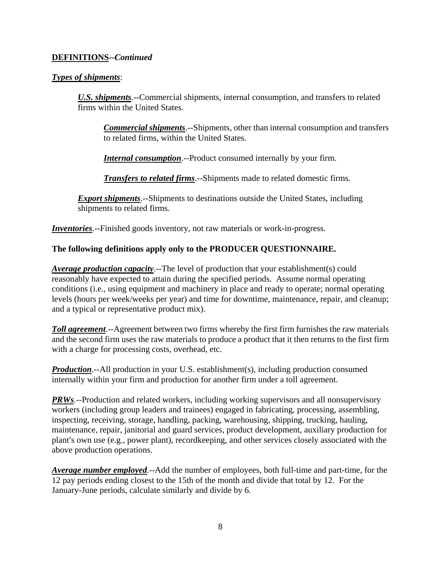# **DEFINITIONS--***Continued*

# *Types of shipments*:

*U.S. shipments*.--Commercial shipments, internal consumption, and transfers to related firms within the United States.

*Commercial shipments*.--Shipments, other than internal consumption and transfers to related firms, within the United States.

*Internal consumption*.--Product consumed internally by your firm.

*Transfers to related firms*.--Shipments made to related domestic firms.

*Export shipments*.--Shipments to destinations outside the United States, including shipments to related firms.

*Inventories*.--Finished goods inventory, not raw materials or work-in-progress.

# **The following definitions apply only to the PRODUCER QUESTIONNAIRE.**

*Average production capacity*.--The level of production that your establishment(s) could reasonably have expected to attain during the specified periods. Assume normal operating conditions (i.e., using equipment and machinery in place and ready to operate; normal operating levels (hours per week/weeks per year) and time for downtime, maintenance, repair, and cleanup; and a typical or representative product mix).

*Toll agreement*.--Agreement between two firms whereby the first firm furnishes the raw materials and the second firm uses the raw materials to produce a product that it then returns to the first firm with a charge for processing costs, overhead, etc.

*Production*.--All production in your U.S. establishment(s), including production consumed internally within your firm and production for another firm under a toll agreement.

*PRWs*.--Production and related workers, including working supervisors and all nonsupervisory workers (including group leaders and trainees) engaged in fabricating, processing, assembling, inspecting, receiving, storage, handling, packing, warehousing, shipping, trucking, hauling, maintenance, repair, janitorial and guard services, product development, auxiliary production for plant's own use (e.g., power plant), recordkeeping, and other services closely associated with the above production operations.

*Average number employed*.--Add the number of employees, both full-time and part-time, for the 12 pay periods ending closest to the 15th of the month and divide that total by 12. For the January-June periods, calculate similarly and divide by 6.